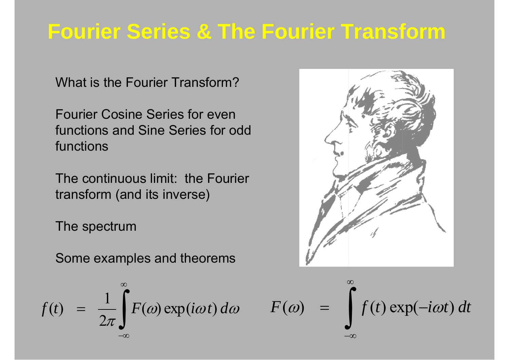# **Fourier Series & The Fourier Transform**

What is the Fourier Transform?

Fourier Cosine Series for even functions and Sine Series for odd functions

The continuous limit: the Fourier transform (and its inverse)

The spectrum

Some examples and theorems

$$
f(t) = \frac{1}{2\pi} \int_{-\infty}^{\infty} F(\omega) \exp(i\omega t) d\omega
$$



$$
F(\omega) = \int_{-\infty}^{\infty} f(t) \exp(-i\omega t) dt
$$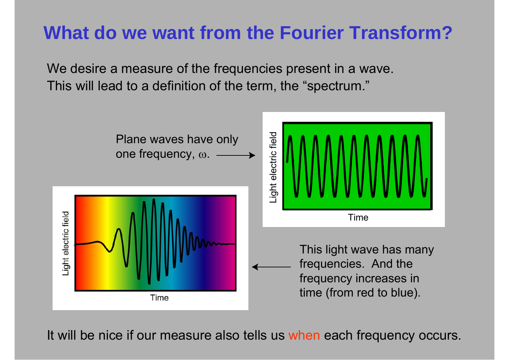#### **What do we want from the Fourier Transform?**

We desire a measure of the frequencies present in a wave. This will lead to a definition of the term, the "spectrum."



It will be nice if our measure also tells us when each frequency occurs.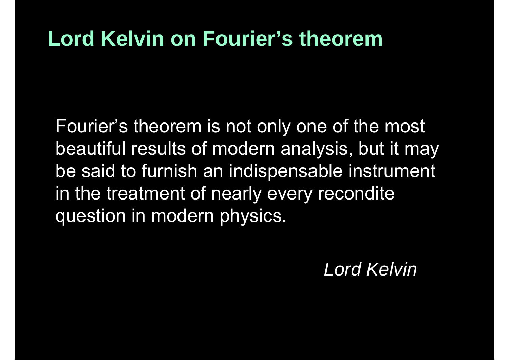#### **Lord Kelvin on Fourier's theorem**

Fourier's theorem is not only one of the most beautiful results of modern analysis, but it may be said to furnish an indispensable instrument in the treatment of nearly every recondite question in modern physics.

*Lord Kelvin*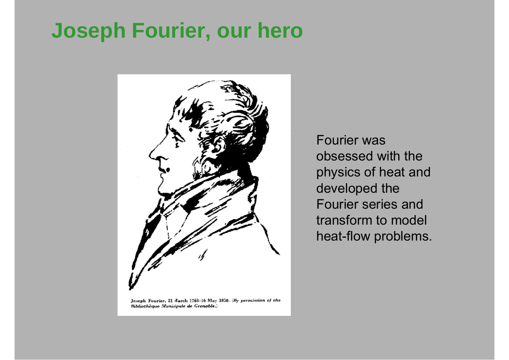## **Joseph Fourier, our hero**



Fourier was obsessed with the physics of heat and developed the Fourier series and transform to model heat-flow problems.

Bibliothèque Municipale de Grenoble.)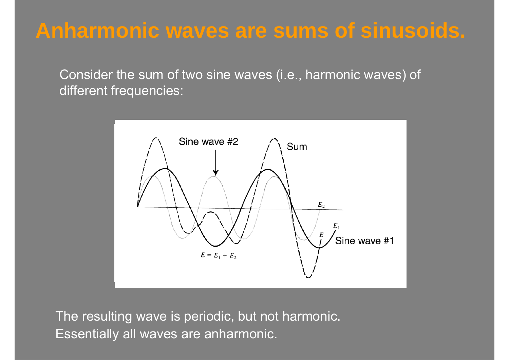#### **Anharmonic waves are sums of sinusoids.**

Consider the sum of two sine waves (i.e., harmonic waves) of different frequencies:



The resulting wave is periodic, but not harmonic. Essentially all waves are anharmonic.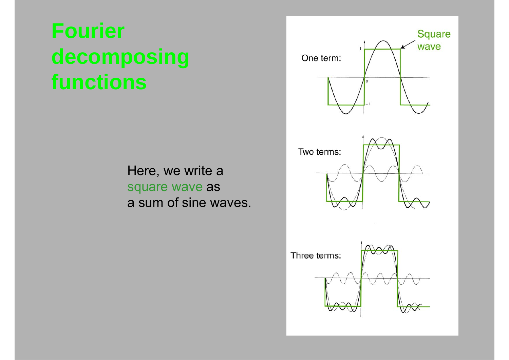# **Fourier decomposing functions**

Here, we write a square wave as a sum of sine waves.

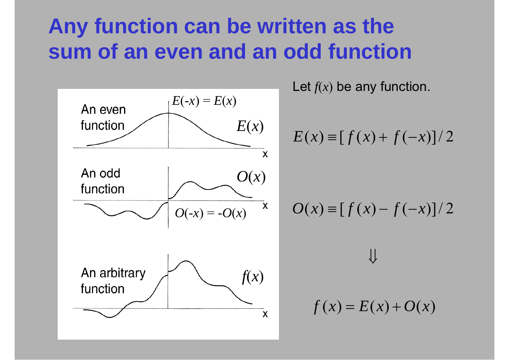## **Any function can be written as the sum of an even and an odd function**



Let  $f\!(x)$  be any function.

$$
E(x) \equiv [f(x) + f(-x)]/2
$$

$$
O(x) \equiv [f(x) - f(-x)]/2
$$

 $\prod$ 

$$
f(x) = E(x) + O(x)
$$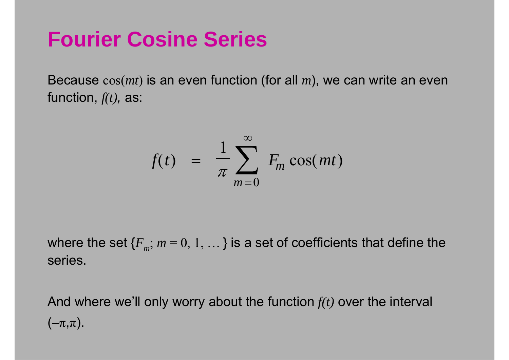## **Fourier Cosine Series**

Because cos(*mt* ) is an even function (for all *<sup>m</sup>*), we can write an even function, *f(t),* as:

$$
f(t) = \frac{1}{\pi} \sum_{m=0}^{\infty} F_m \cos(mt)
$$

where the set  ${F_m; m = 0, 1, ...}$  is a set of coefficients that define the series.

And where we'll only worry about the function *f(t)* over the interval  $(-\pi,\pi).$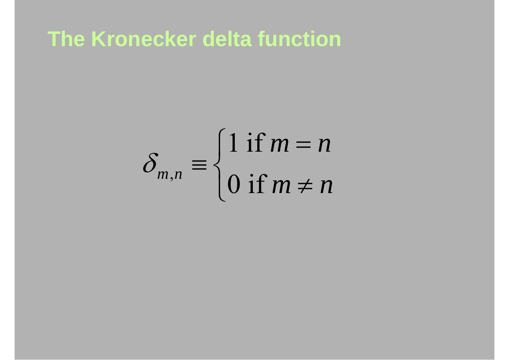**The Kronecker delta function**

$$
\delta_{m,n} \equiv \begin{cases} 1 \text{ if } m=n \\ 0 \text{ if } m \neq n \end{cases}
$$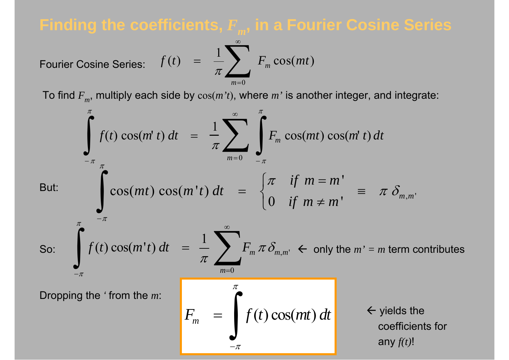Finding the coefficients, 
$$
F_m
$$
, in a Fourier Cosine Series

\nFourier Cosine Series:  $f(t) = \frac{1}{\pi} \sum_{m=0}^{\infty} F_m \cos(mt)$ 

\nTo find  $F_m$ , multiply each side by  $\cos(m't)$ , where  $m'$  is another integer, and integrate:

\n
$$
\int_{-\pi}^{\pi} f(t) \cos(mt't) dt = \frac{1}{\pi} \sum_{m=0}^{\infty} \int_{-\pi}^{\pi} F_m \cos(mt) \cos(mt't) dt
$$
\nBut:

\n
$$
\int_{-\pi}^{\pi} \cos(mt) \cos(mt't) dt = \begin{cases} \pi & \text{if } m = m' \\ 0 & \text{if } m \neq m' \end{cases} \equiv \pi \delta_{m,m'}
$$
\nSo:

\n
$$
\int_{-\pi}^{\pi} f(t) \cos(mt't) dt = \frac{1}{\pi} \sum_{m=0}^{\infty} F_m \pi \delta_{m,m'} \Leftarrow \text{only the } m' = m \text{ term contributes}
$$
\nDropping the 'from the } m:

\n
$$
F_m = \int_{-\pi}^{\pi} f(t) \cos(mt) dt \qquad \Leftarrow \text{yields the coefficients for}
$$

 $F_m = \int f(t) \cos(mt) dt$ 

 $-\pi$ 

=

 $\leftarrow$  yields the coefficients for any *f(t)*!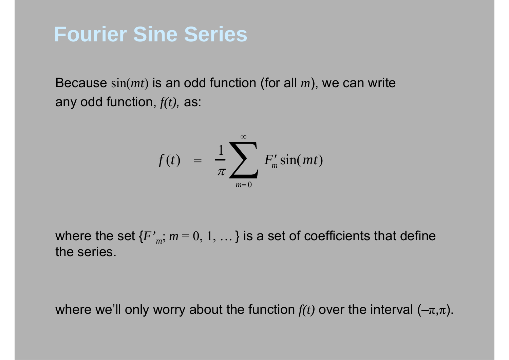#### **Fourier Sine Series**

Because sin(*mt* ) is an odd function (for all *<sup>m</sup>*), we can write any odd function, *f(t),* as:

$$
f(t) = \frac{1}{\pi} \sum_{m=0}^{\infty} F'_m \sin(mt)
$$

where the set  ${F}_{m}$ ;  $m = 0, 1, ...$  is a set of coefficients that define the series.

where we'll only worry about the function  $f\!(t)$  over the interval (– $\pi,\pi$ ).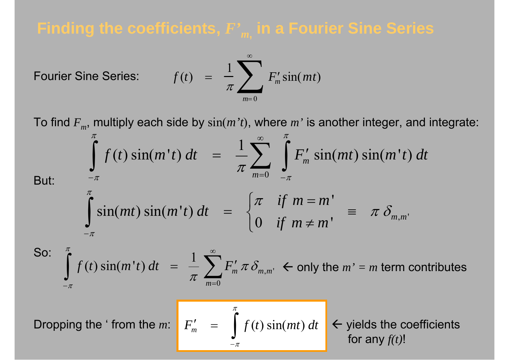#### **Finding the coefficients,** *F' <sup>m</sup>***, in a Fourier Sine Series**

Fourier Sine Series: 
$$
f(t) = \frac{1}{\pi} \sum_{m=0}^{\infty} F'_m \sin(mt)
$$

To find *Fm*, multiply each side by sin(*m't* ), where *m'* is another integer, and integrate:

But:  
\n
$$
\int_{-\pi}^{\pi} f(t) \sin(m't) dt = \frac{1}{\pi} \sum_{m=0}^{\infty} \int_{-\pi}^{\pi} F'_m \sin(mt) \sin(mt't) dt
$$
\nBut:  
\n
$$
\int_{-\pi}^{\pi} \sin(mt) \sin(mt't) dt = \begin{cases} \pi & \text{if } m = m' \\ 0 & \text{if } m \neq m' \end{cases} \equiv \pi \delta_{m,m'}
$$
\nSo:  
\n
$$
\int_{-\pi}^{\pi} f(t) \sin(mt't) dt = \frac{1}{\pi} \sum_{m=0}^{\infty} F'_m \pi \delta_{m,m'} \leftarrow \text{only the } m' = m \text{ term contributes}
$$

Dropping the ' from the *m*:

 $-\pi$ 

$$
F'_{m} = \int_{-\pi}^{\pi} f(t) \sin(mt) dt \quad \leftarrow \text{ yields the coefficients} \quad \text{for any } f(t)!
$$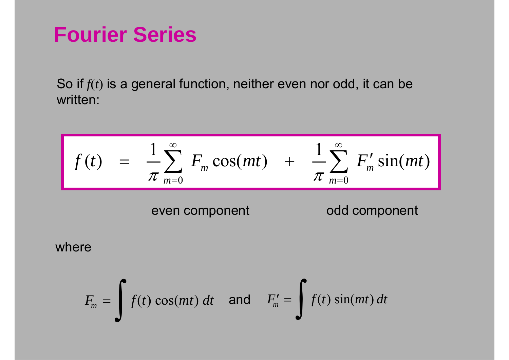#### **Fourier Series**

So if  $f(t)$  is a general function, neither even nor odd, it can be written:

$$
f(t) = \frac{1}{\pi} \sum_{m=0}^{\infty} F_m \cos(mt) + \frac{1}{\pi} \sum_{m=0}^{\infty} F'_m \sin(mt)
$$
  
even component  
where  

$$
F_m = \int f(t) \cos(mt) dt \text{ and } F'_m = \int f(t) \sin(mt) dt
$$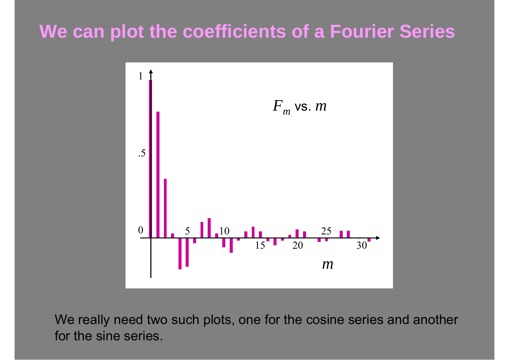#### **We can plot the coefficients of a Fourier Series**



We really need two such plots, one for the cosine series and another for the sine series.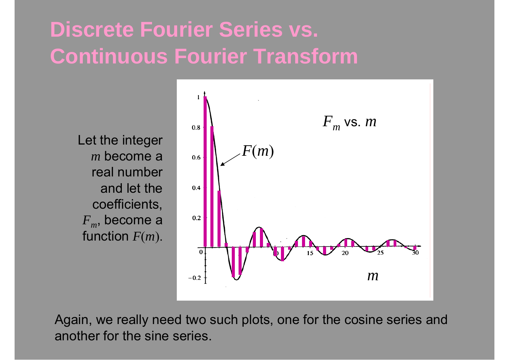# **Discrete Fourier Series vs. Continuous Fourier Transform**



Again, we really need two such plots, one for the cosine series and another for the sine series.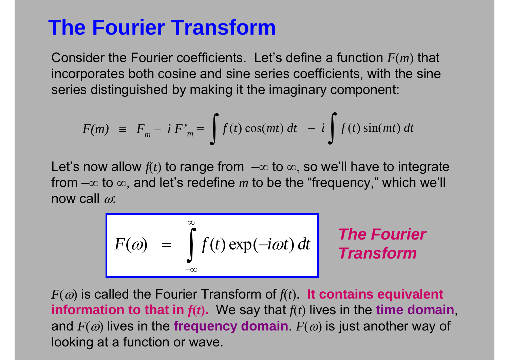#### **The Fourier Transform**

Consider the Fourier coefficients. Let's define a function *F* ( *m* ) that incorporates both cosine and sine series coefficients, with the sine series distinguished by making it the imaginary component:

$$
F(m) \equiv F_m - i F'_m = \int f(t) \cos(mt) dt - i \int f(t) \sin(mt) dt
$$

Let's now allow  $f\!(t)$  to range from  $\, -\infty$  to  $\infty,$  so we'll have to integrate from –∞ to ∞, and let's redefine  $m$  to be the "frequency," which we'll now call  $\omega$ :

$$
F(\omega) = \int_{-\infty}^{\infty} f(t) \exp(-i\omega t) dt
$$

<sup>−</sup> ∫ *The Fourier Transform*

 $F(\omega)$  is called the Fourier Transform of  $f(t)$ . It contains equivalent **information to that in**  $f(t)$ **.** We say that  $f(t)$  lives in the **time domain**, and  $F(\omega)$  lives in the **frequency domain**.  $F(\omega)$  is just another way of looking at a function or wave.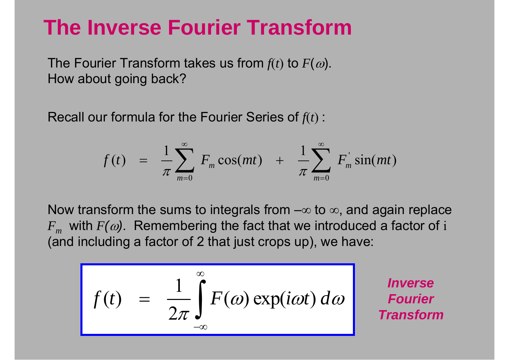#### **The Inverse Fourier Transform**

The Fourier Transform takes us from  $f\!(t)$  to  $F(\omega)$ . How about going back?

Recall our formula for the Fourier Series of *f*( *<sup>t</sup>*) :

$$
f(t) = \frac{1}{\pi} \sum_{m=0}^{\infty} F_m \cos(mt) + \frac{1}{\pi} \sum_{m=0}^{\infty} F_m \sin(mt)
$$

Now transform the sums to integrals from – $\infty$  to  $\infty$ , and again replace  $F_m^{}$  with  $F(\omega )$ . Remembering the fact that we introduced a factor of  ${\rm i}$ (and including a factor of 2 that just crops up), we have:

$$
f(t) = \frac{1}{2\pi} \int_{-\infty}^{\infty} F(\omega) \exp(i\omega t) d\omega
$$
 **Inverse**  
Transform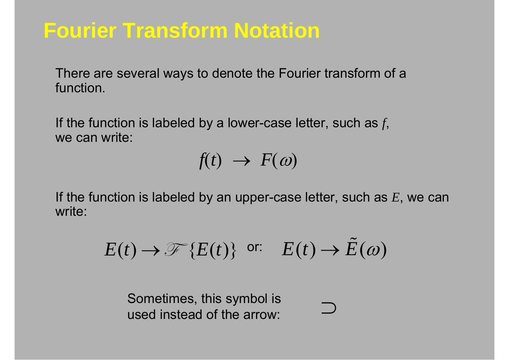# **Fourier Transform Notation**

There are several ways to denote the Fourier transform of a function.

If the function is labeled by a lower-case letter, such as *f*, we can write:

 $f(t) \rightarrow F(\omega)$ 

If the function is labeled by an upper-case letter, such as *E*, we can write:

$$
E(t) \to \mathcal{F}\{E(t)\} \text{ or: } E(t) \to \tilde{E}(\omega)
$$

Sometimes, this symbol is used instead of the arrow: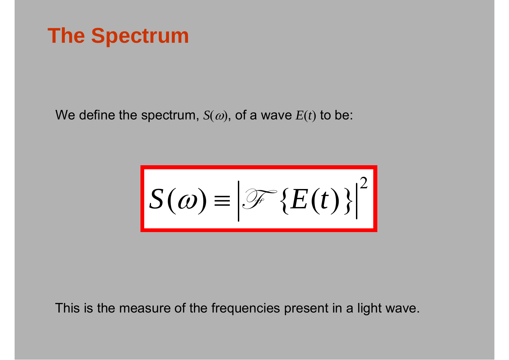### **The Spectrum**

We define the spectrum,  $S(\omega)$ , of a wave  $E(t)$  to be:

 $S(\omega) = |\mathcal{F}\{E(t)\}|^2$ 

This is the measure of the frequencies present in a light wave.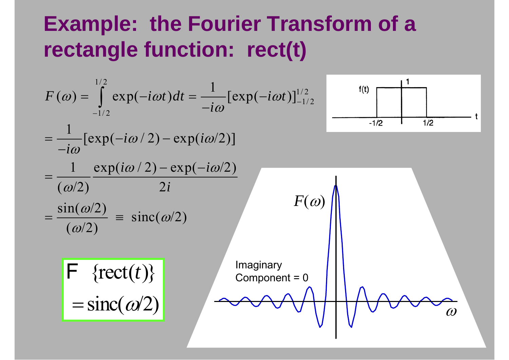## **Example: the Fourier Transform of a rectangle function: rect(t)**

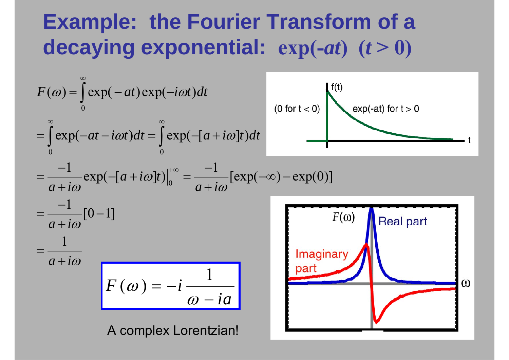# **Example: the Fourier Transform of a decaying exponential: exp(-***at***) (** *<sup>t</sup>* **> 0)**

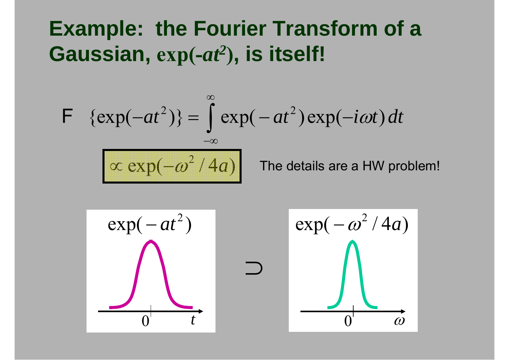## **Example: the Fourier Transform of a Gaussian, exp(-***at2* **), is itself!**

$$
\mathsf{F} \{ \exp(-at^2) \} = \int_{-\infty}^{\infty} \exp(-at^2) \exp(-i\omega t) dt
$$
  
\n
$$
\exp(-\omega^2/4a) \qquad \text{The details are a HW problem!}
$$
  
\n
$$
\exp(-at^2) \qquad \qquad \exp(-\omega^2/4a)
$$

0

ω

0

*t*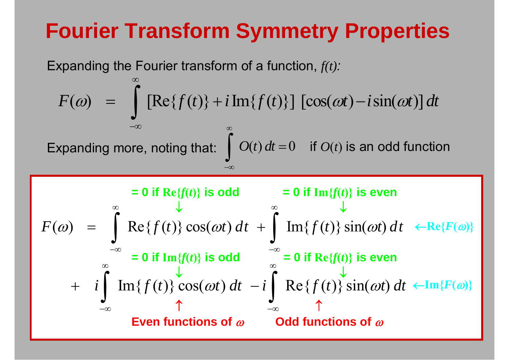# **Fourier Transform Symmetry Properties**

Expanding the Fourier transform of a function, *f(t) :*

 $F(\omega) = \int \text{Re}\{f(t)\} \cos(\omega t) dt + \int \text{Im}\{f(t)\} \sin(\omega t) dt$ ∞ ∞ ∞ ∞ ∞ −∞ −∞ = $\int \text{Re}\lbrace f(t)\rbrace \cos(\omega t) dt + \int$  $\leftarrow$ **Re**{ $F(\omega)$ }  $\leftarrow$ **Im**{ $F(\omega)$ } ↑ ↑ ↓ ↓  $= 0$  if  $\text{Re}\{f(t)\}$  is odd  $= 0$  if  $\text{Im}\{f(t)\}$  $= 0$  if  $\text{Im}\{f(t)\}$  is even **Even functions of**  ω **Odd functions of**  ω  $F(\omega) = \int [\text{Re}\{f(t)\} + i \text{Im}\{f(t)\}] \left[\cos(\omega t) - i \sin(\omega t)\right] dt$ ∞−∞=  $\int [Re{f(t)} + i Im{f(t)}] [cos(\omega t)$  $i \parallel \text{Im}{f(t)} \cos(\omega t) dt - i \parallel \text{Re}{f(t)} \sin(\omega t) dt$ ∞ ∞ −∞ −∞  $+ i \int \text{Im}{f(t)} \cos(\omega t) dt - i \int$  $= 0$  if  $\text{Im}\{f(t)\}$  is odd  $= 0$  if  $\text{Re}\{f(t)\}$  is even ↓ ↓ Expanding more, noting that:  $\int O(t)\,dt\,{=}\, 0$ ∞−∞=  $\int$   $O(t) dt = 0$  if  $O(t)$  is an odd function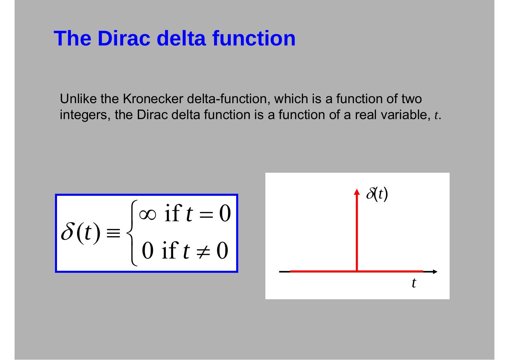#### **The Dirac delta function**

Unlike the Kronecker delta-function, which is a function of two integers, the Dirac delta function is a function of a real variable, *t*.

 $\begin{cases} (t) \equiv \begin{cases} \infty & \text{if } t = 0 \\ 0 & \text{if } t \neq 0 \end{cases} \end{cases}$ *t*  $\delta(t)$ *t*  $\int \infty$  if  $t =$  $\left\{ \right\}$  $\int 0$  if  $t \neq$ 

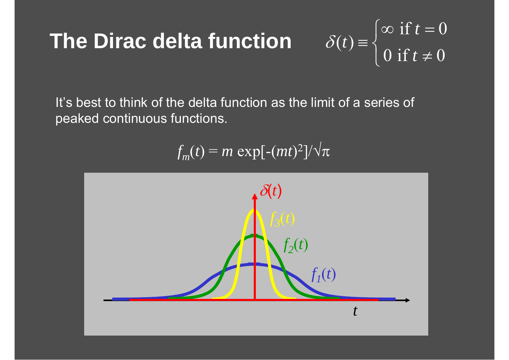# **The Dirac delta function**

#### $\left(t\right) \equiv \begin{cases} \infty \text{ if } t = 0 \\ 0 \text{ if } t \neq 0 \end{cases}$ *t t t*  $\int \infty$  if  $t =$ ≡ ⎨  $\bigcup$  0 if  $t \neq$

 $\delta$ 

It's best to think of the delta function as the limit of a series of peaked continuous functions.

 $f_m(t) = m \exp[-(mt)^2]/\sqrt{\pi}$ 

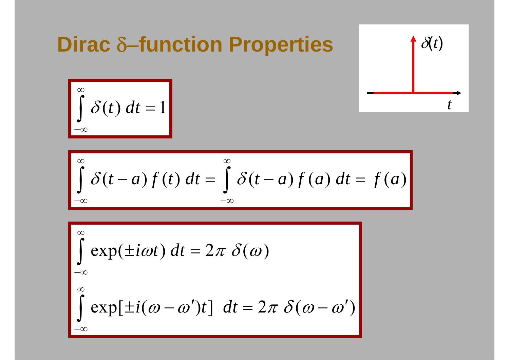| <b>Dirac</b> $\delta$ -function Properties | $\delta(t)$ |
|--------------------------------------------|-------------|
| $\int \delta(t) dt = 1$                    | $t$         |

$$
\overrightarrow{\delta(t)}
$$

$$
\int_{-\infty}^{\infty} \delta(t) \, dt = 1
$$

$$
\int_{-\infty}^{\infty} \delta(t-a) f(t) dt = \int_{-\infty}^{\infty} \delta(t-a) f(a) dt = f(a)
$$

$$
\int_{-\infty}^{\infty} \exp(\pm i\omega t) dt = 2\pi \delta(\omega)
$$
  

$$
\int_{-\infty}^{\infty} \exp[\pm i(\omega - \omega')t] dt = 2\pi \delta(\omega - \omega')
$$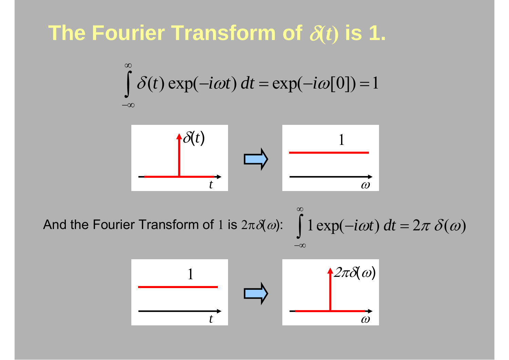#### **The Fourier Transform of** δ**(***t***) is 1.**

$$
\int_{-\infty}^{\infty} \delta(t) \exp(-i\omega t) dt = \exp(-i\omega[0]) = 1
$$



 $1 \exp(-i\omega t) dt = 2\pi \delta(\omega)$ ∞−∞And the Fourier Transform of 1 is  $2\pi\delta(\omega)$ :

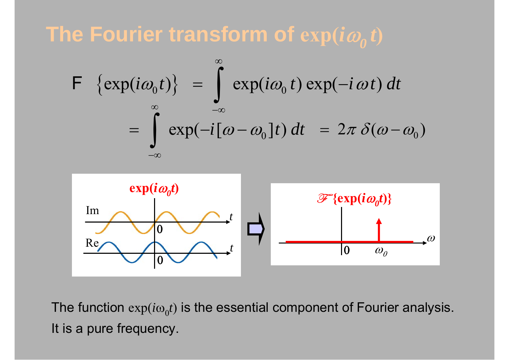The Fourier transform of  $\exp(i\omega_{_{\scriptscriptstyle{\theta}}}t)$ 

$$
\mathsf{F} \left\{ \exp(i\omega_0 t) \right\} = \int_{-\infty}^{\infty} \exp(i\omega_0 t) \exp(-i\omega t) dt
$$

$$
= \int_{-\infty}^{\infty} \exp(-i[\omega - \omega_0]t) dt = 2\pi \delta(\omega - \omega_0)
$$



The function  $\exp(i\omega_0 t)$  is the essential component of Fourier analysis. It is a pure frequency.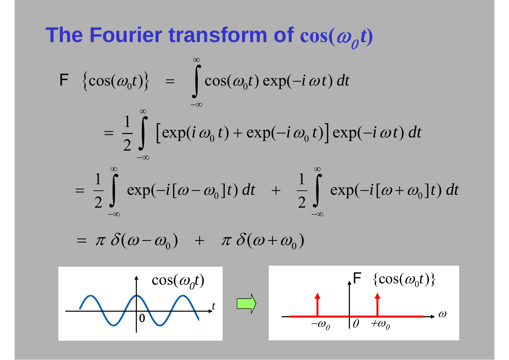# The Fourier transform of  $cos(\omega_{o}t)$

$$
\begin{aligned}\n\mathsf{F} \quad & \{\cos(\omega_0 t)\} \quad = \quad \int\limits_{-\infty}^{\infty} \cos(\omega_0 t) \exp(-i \, \omega t) \, dt \\
&= \quad \frac{1}{2} \int\limits_{-\infty}^{\infty} \left[ \exp(i \, \omega_0 \, t) + \exp(-i \, \omega_0 \, t) \right] \exp(-i \, \omega t) \, dt \\
&= \quad \frac{1}{2} \int\limits_{-\infty}^{\infty} \exp(-i\left[\omega - \omega_0\right] t) \, dt \quad + \quad \frac{1}{2} \int\limits_{-\infty}^{\infty} \exp(-i\left[\omega + \omega_0\right] t) \, dt\n\end{aligned}
$$

$$
= \pi \delta(\omega - \omega_0) + \pi \delta(\omega + \omega_0)
$$



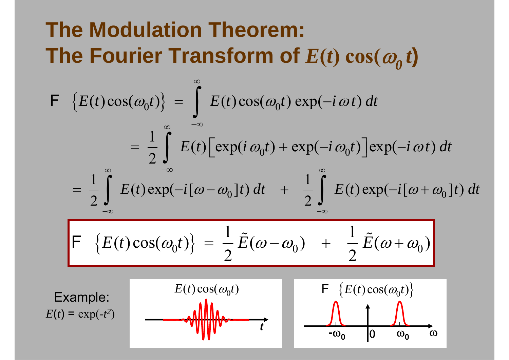# **The Modulation Theorem:** The Fourier Transform of  $E(t) \cos(\omega_{\theta} t)$

$$
F\left\{E(t)\cos(\omega_0 t)\right\} = \int_{-\infty}^{\infty} E(t)\cos(\omega_0 t) \exp(-i\omega t) dt
$$
  
\n
$$
= \frac{1}{2} \int_{-\infty}^{\infty} E(t) \left[\exp(i\omega_0 t) + \exp(-i\omega_0 t)\right] \exp(-i\omega t) dt
$$
  
\n
$$
= \frac{1}{2} \int_{-\infty}^{\infty} E(t) \exp(-i[\omega - \omega_0]t) dt + \frac{1}{2} \int_{-\infty}^{\infty} E(t) \exp(-i[\omega + \omega_0]t) dt
$$
  
\n
$$
F\left\{E(t) \cos(\omega_0 t)\right\} = \frac{1}{2} \tilde{E}(\omega - \omega_0) + \frac{1}{2} \tilde{E}(\omega + \omega_0)
$$
  
\nExample:  
\n
$$
E(t) \cos(\omega_0 t)
$$
  
\n
$$
F\left\{E(t) \cos(\omega_0 t)\right\}
$$
  
\n
$$
E(t) = \exp(-t^2)
$$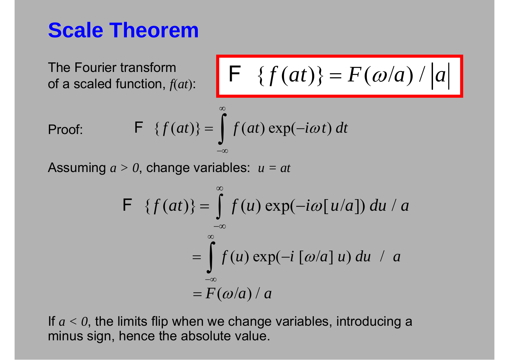#### **Scale Theorem**

The Fourier transform of a scaled function,  $f(at)$ :

$$
F \{f(at)\} = F(\omega/a) / |a|
$$

Proof:

$$
\mathsf{F} \quad \{f(at)\} = \int_{-\infty}^{\infty} f(at) \exp(-i\omega t) \, dt
$$

∞

Assuming *a > 0*, change variables: *u = at*

$$
\mathsf{F} \quad \{f(at)\} = \int_{-\infty}^{\infty} f(u) \exp(-i\omega[u/a]) \, du \ / \ a
$$
\n
$$
= \int_{-\infty}^{\infty} f(u) \exp(-i[\omega/a]u) \, du \ / \ a
$$
\n
$$
= F(\omega/a)/a
$$

If  $a < 0$ , the limits flip when we change variables, introducing a minus sign, hence the absolute value.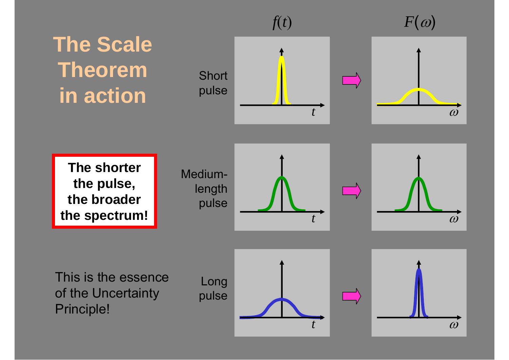**The Scale Theorem in action**





**The shorter the pulse, the broader the spectrum!**

Mediumlength pulse





This is the essence of the Uncertainty Principle!



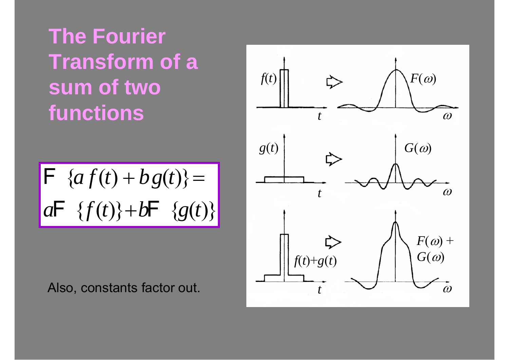**The Fourier Transform of a sum of two functions**

$$
\mathsf{F} \ \{af(t) + bg(t)\} =
$$
\n
$$
a\mathsf{F} \ \{f(t)\} + b\mathsf{F} \ \{g(t)\}
$$

Also, constants factor out.

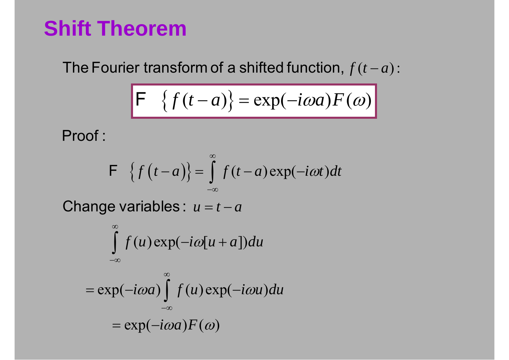#### **Shift Theorem**

 $f(t-a)$ : The Fourier transform of a shifted function,  $f(t-$ 

$$
F \left\{ f(t-a) \right\} = \exp(-i\omega a) F(\omega)
$$

Proof :

$$
\mathsf{F} \quad \left\{f\left(t-a\right)\right\} = \int\limits_{-\infty}^{\infty} f\left(t-a\right) \exp\left(-i\omega t\right) dt
$$

Change variables :  $u = t - a$ 

$$
\int_{-\infty}^{\infty} f(u) \exp(-i\omega[u+a]) du
$$
  
=  $\exp(-i\omega a) \int_{-\infty}^{\infty} f(u) \exp(-i\omega u) du$   
=  $\exp(-i\omega a) F(\omega)$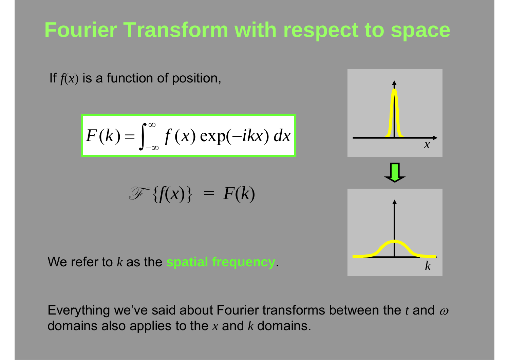# **Fourier Transform with respect to space**

If *f*(*<sup>x</sup>* ) is a function of position,

$$
F(k) = \int_{-\infty}^{\infty} f(x) \exp(-ikx) dx
$$

$$
\mathscr{F}\{f(x)\} = F(k)
$$



*k*

We refer to *k* as the **spatial frequency**.

Everything we've said about Fourier transforms between the  $t$  and  $\varpi$ domains also applies to the *x* and *k* domains.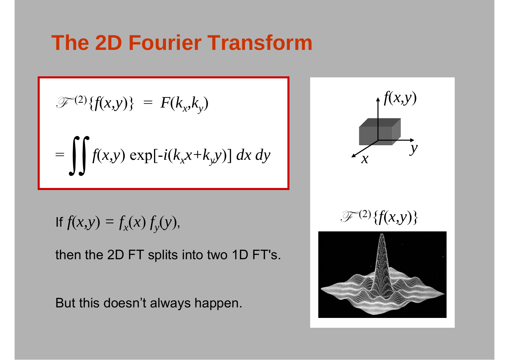#### **The 2D Fourier Transform**

$$
\mathcal{F}^{(2)}\{f(x,y)\} = F(k_x, k_y)
$$

$$
= \iiint f(x,y) \exp[-i(k_x x + k_y y)] dx dy
$$

$$
\text{If } f(x, y) = f_x(x) f_y(y),
$$

then the 2D FT splits into two 1D FT's.

But this doesn't always happen.

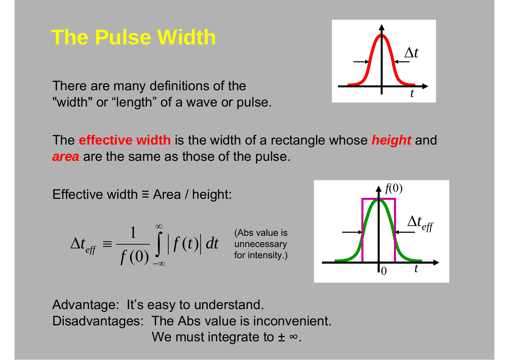#### **The Pulse Width**



There are many definitions of the "width" or "length" of a wave or pulse.

The **effective width** is the width of a rectangle whose *height* and *area* are the same as those of the pulse.

Effective width ≡ Area / height:

$$
\Delta t_{\text{eff}} \equiv \frac{1}{f(0)} \int_{-\infty}^{\infty} \left| f(t) \right| dt
$$

(Abs value is unnecessary for intensity.)



Advantage: It's easy to understand. Disadvantages: The Abs value is inconvenient. We must integrate to  $\pm$   $\infty.$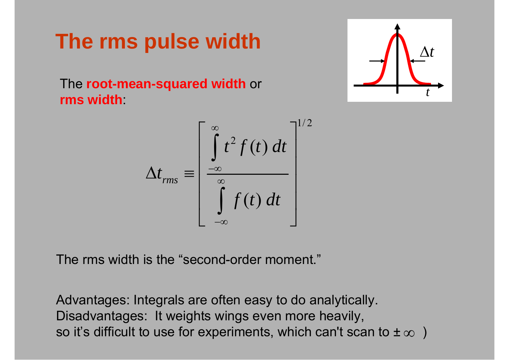# **The rms pulse width**

The **root-mean-squared width** or **rms width**:

$$
\Delta t_{rms} \equiv \left[ \frac{\int_{-\infty}^{\infty} t^2 f(t) dt}{\int_{-\infty}^{\infty} f(t) dt} \right]^{1/2}
$$

The rms width is the "second-order moment."

Advantages: Integrals are often easy to do analytically. Disadvantages: It weights wings even more heavily, so it's difficult to use for experiments, which can't scan to  $\pm \infty$   $\,$  )

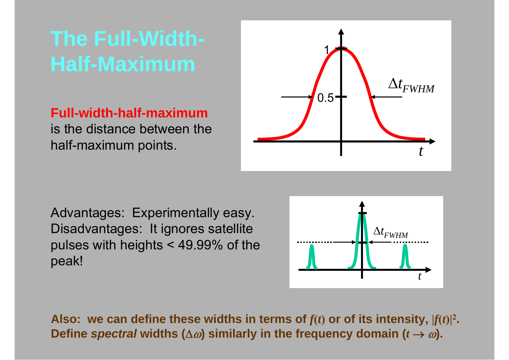# **The Full-Width-Half-Maximum**

**Full-width-half-maximum**is the distance between the half-maximum points.



Advantages: Experimentally easy. Disadvantages: It ignores satellite pulses with heights < 49.99% of the peak!



Also: we can define these widths in terms of  $f(t)$  or of its intensity,  $|f(t)|^2$ . **Define** *spectral* **widths (** $\Delta \omega$ **) similarly in the frequency domain (** $t \rightarrow \omega$ **).**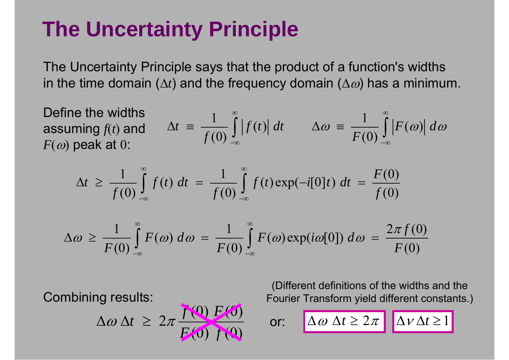# **The Uncertainty Principle**

The Uncertainty Principle says that the product of a function's widths in the time domain ( $\Delta t$ ) and the frequency domain ( $\Delta \varpi$ ) has a minimum.

 $\frac{1}{f(0)} \int_{-\infty}^{\infty} f(t) dt = \frac{1}{f(0)} \int_{-\infty}^{\infty} f(t) \exp(-i[0]t) dt = \frac{F(0)}{f(0)}$  $\Delta t \ge \frac{1}{f(0)} \int_{-\infty}^{\infty} f(t) dt = \frac{1}{f(0)} \int_{-\infty}^{\infty} f(t) \exp(-i[0]t) dt = \frac{F}{f}$ Define the widths assuming  $f\!(t)$  and  $F(\omega)$  peak at  $0$ :  $\Delta t = \frac{1}{f(0)} \int_{-\infty}^{\infty} |f(t)| dt$   $\Delta \omega = \frac{1}{F(0)} \int_{-\infty}^{\infty} |F(\omega)| d\omega$  $F(\omega) d\omega = \frac{1}{\pi} \int_{0}^{\infty} F(\omega) \exp(i\omega[0]) d\omega = \frac{2\pi f}{\pi}$  $\pi$  $\omega \geq$  -  $\rightarrow$   $\mid$   $F(\omega) d\omega =$   $\rightarrow$   $\mid$   $F(\omega)$  explicition  $\cup$   $\mid$   $d\omega$ ∞ ∞  $\Delta\omega \geq \frac{1}{F(\omega)} \int F(\omega) d\omega = \frac{1}{F(\omega)} \int F(\omega) \exp(i\omega[0]) d\omega =$ 

$$
\Delta \omega \geq \frac{1}{F(0)} \int_{-\infty}^{\infty} F(\omega) d\omega = \frac{1}{F(0)} \int_{-\infty}^{\infty} F(\omega) \exp(i\omega[0]) d\omega = \frac{2\pi f(0)}{F(0)}
$$

or:

Combining results:

$$
\Delta \omega \, \Delta t \geq 2\pi \frac{f(0) F(0)}{F(0) f(0)}
$$

(Different definitions of the widths and the Fourier Transform yield different constants.)

$$
\text{r:} \quad \boxed{\Delta \omega \ \Delta t \geq 2\pi} \quad \boxed{\Delta v \Delta t \geq 1}
$$